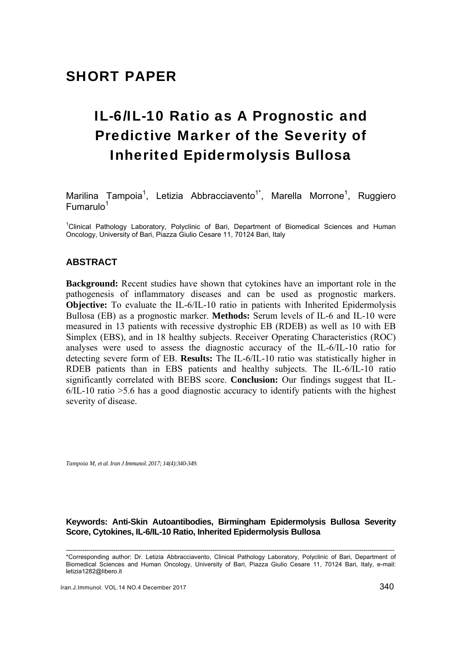# IL-6/IL-10 Ratio as A Prognostic and Predictive Marker of the Severity of Inherited Epidermolysis Bullosa

Marilina Tampoia<sup>1</sup>, Letizia Abbracciavento<sup>1\*</sup>, Marella Morrone<sup>1</sup>, Ruggiero  $F$ umarulo $1$ 

<sup>1</sup>Clinical Pathology Laboratory, Polyclinic of Bari, Department of Biomedical Sciences and Human Oncology, University of Bari, Piazza Giulio Cesare 11, 70124 Bari, Italy

## **ABSTRACT**

**Background:** Recent studies have shown that cytokines have an important role in the pathogenesis of inflammatory diseases and can be used as prognostic markers. **Objective:** To evaluate the IL-6/IL-10 ratio in patients with Inherited Epidermolysis Bullosa (EB) as a prognostic marker. **Methods:** Serum levels of IL-6 and IL-10 were measured in 13 patients with recessive dystrophic EB (RDEB) as well as 10 with EB Simplex (EBS), and in 18 healthy subjects. Receiver Operating Characteristics (ROC) analyses were used to assess the diagnostic accuracy of the IL-6/IL-10 ratio for detecting severe form of EB. **Results:** The IL-6/IL-10 ratio was statistically higher in RDEB patients than in EBS patients and healthy subjects. The IL-6/IL-10 ratio significantly correlated with BEBS score. **Conclusion:** Our findings suggest that IL-6/IL-10 ratio >5.6 has a good diagnostic accuracy to identify patients with the highest severity of disease.

*Tampoia M, et al. Iran J Immunol. 2017; 14(4):340-349.* 

#### **Keywords: Anti-Skin Autoantibodies, Birmingham Epidermolysis Bullosa Severity Score, Cytokines, IL-6/IL-10 Ratio, Inherited Epidermolysis Bullosa**

<sup>---------------------------------------------------------------------------------------------------------------------------------------------------------------</sup>  \*Corresponding author: Dr. Letizia Abbracciavento, Clinical Pathology Laboratory, Polyclinic of Bari, Department of Biomedical Sciences and Human Oncology, University of Bari, Piazza Giulio Cesare 11, 70124 Bari, Italy, e-mail: letizia1282@libero.it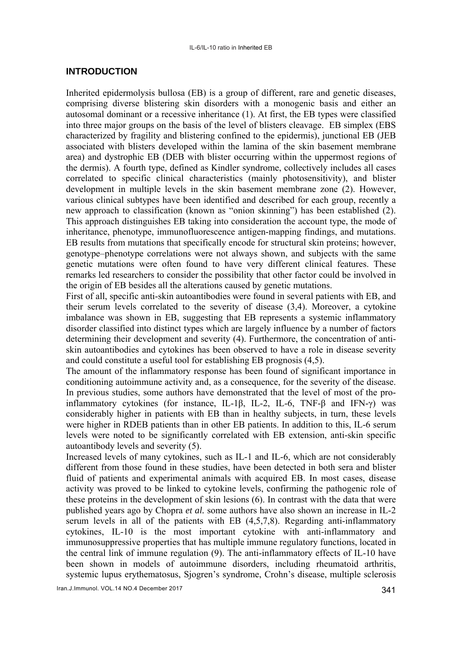#### **INTRODUCTION**

Inherited epidermolysis bullosa (EB) is a group of different, rare and genetic diseases, comprising diverse blistering skin disorders with a monogenic basis and either an autosomal dominant or a recessive inheritance (1). At first, the EB types were classified into three major groups on the basis of the level of blisters cleavage. EB simplex (EBS characterized by fragility and blistering confined to the epidermis), junctional EB (JEB associated with blisters developed within the lamina of the skin basement membrane area) and dystrophic EB (DEB with blister occurring within the uppermost regions of the dermis). A fourth type, defined as Kindler syndrome, collectively includes all cases correlated to specific clinical characteristics (mainly photosensitivity), and blister development in multiple levels in the skin basement membrane zone (2). However, various clinical subtypes have been identified and described for each group, recently a new approach to classification (known as "onion skinning") has been established (2). This approach distinguishes EB taking into consideration the account type, the mode of inheritance, phenotype, immunofluorescence antigen-mapping findings, and mutations. EB results from mutations that specifically encode for structural skin proteins; however, genotype–phenotype correlations were not always shown, and subjects with the same genetic mutations were often found to have very different clinical features. These remarks led researchers to consider the possibility that other factor could be involved in the origin of EB besides all the alterations caused by genetic mutations.

First of all, specific anti-skin autoantibodies were found in several patients with EB, and their serum levels correlated to the severity of disease (3,4). Moreover, a cytokine imbalance was shown in EB, suggesting that EB represents a systemic inflammatory disorder classified into distinct types which are largely influence by a number of factors determining their development and severity (4). Furthermore, the concentration of antiskin autoantibodies and cytokines has been observed to have a role in disease severity and could constitute a useful tool for establishing EB prognosis (4,5).

The amount of the inflammatory response has been found of significant importance in conditioning autoimmune activity and, as a consequence, for the severity of the disease. In previous studies, some authors have demonstrated that the level of most of the proinflammatory cytokines (for instance, IL-1β, IL-2, IL-6, TNF-β and IFN-γ) was considerably higher in patients with EB than in healthy subjects, in turn, these levels were higher in RDEB patients than in other EB patients. In addition to this, IL-6 serum levels were noted to be significantly correlated with EB extension, anti-skin specific autoantibody levels and severity (5).

Increased levels of many cytokines, such as IL-1 and IL-6, which are not considerably different from those found in these studies, have been detected in both sera and blister fluid of patients and experimental animals with acquired EB. In most cases, disease activity was proved to be linked to cytokine levels, confirming the pathogenic role of these proteins in the development of skin lesions (6). In contrast with the data that were published years ago by Chopra *et al.* some authors have also shown an increase in IL-2 serum levels in all of the patients with EB (4,5,7,8). Regarding anti-inflammatory cytokines, IL-10 is the most important cytokine with anti-inflammatory and immunosuppressive properties that has multiple immune regulatory functions, located in the central link of immune regulation (9). The anti-inflammatory effects of IL-10 have been shown in models of autoimmune disorders, including rheumatoid arthritis, systemic lupus erythematosus, Sjogren's syndrome, Crohn's disease, multiple sclerosis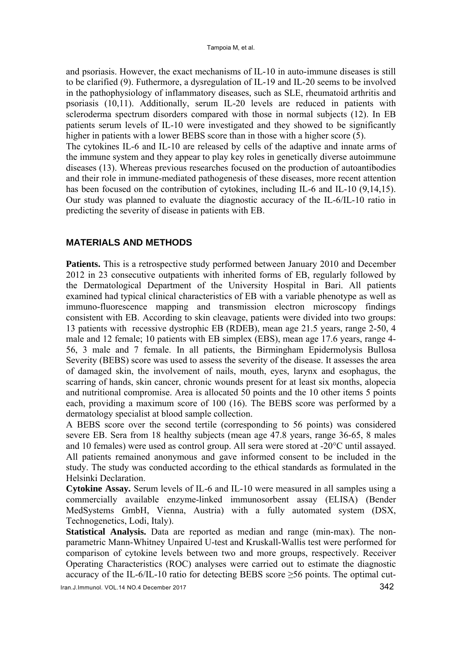and psoriasis. However, the exact mechanisms of IL-10 in auto-immune diseases is still to be clarified (9). Futhermore, a dysregulation of IL-19 and IL-20 seems to be involved in the pathophysiology of inflammatory diseases, such as SLE, rheumatoid arthritis and psoriasis (10,11). Additionally, serum IL-20 levels are reduced in patients with scleroderma spectrum disorders compared with those in normal subjects (12). In EB patients serum levels of IL-10 were investigated and they showed to be significantly higher in patients with a lower BEBS score than in those with a higher score (5). The cytokines IL-6 and IL-10 are released by cells of the adaptive and innate arms of the immune system and they appear to play key roles in genetically diverse autoimmune diseases (13). Whereas previous researches focused on the production of autoantibodies and their role in immune-mediated pathogenesis of these diseases, more recent attention has been focused on the contribution of cytokines, including IL-6 and IL-10 (9,14,15). Our study was planned to evaluate the diagnostic accuracy of the IL-6/IL-10 ratio in predicting the severity of disease in patients with EB.

## **MATERIALS AND METHODS**

**Patients.** This is a retrospective study performed between January 2010 and December 2012 in 23 consecutive outpatients with inherited forms of EB, regularly followed by the Dermatological Department of the University Hospital in Bari. All patients examined had typical clinical characteristics of EB with a variable phenotype as well as immuno-fluorescence mapping and transmission electron microscopy findings consistent with EB. According to skin cleavage, patients were divided into two groups: 13 patients with recessive dystrophic EB (RDEB), mean age 21.5 years, range 2-50, 4 male and 12 female; 10 patients with EB simplex (EBS), mean age 17.6 years, range 4- 56, 3 male and 7 female. In all patients, the Birmingham Epidermolysis Bullosa Severity (BEBS) score was used to assess the severity of the disease. It assesses the area of damaged skin, the involvement of nails, mouth, eyes, larynx and esophagus, the scarring of hands, skin cancer, chronic wounds present for at least six months, alopecia and nutritional compromise. Area is allocated 50 points and the 10 other items 5 points each, providing a maximum score of 100 (16). The BEBS score was performed by a dermatology specialist at blood sample collection.

A BEBS score over the second tertile (corresponding to 56 points) was considered severe EB. Sera from 18 healthy subjects (mean age 47.8 years, range 36-65, 8 males and 10 females) were used as control group. All sera were stored at -20°C until assayed. All patients remained anonymous and gave informed consent to be included in the study. The study was conducted according to the ethical standards as formulated in the Helsinki Declaration.

**Cytokine Assay.** Serum levels of IL-6 and IL-10 were measured in all samples using a commercially available enzyme-linked immunosorbent assay (ELISA) (Bender MedSystems GmbH, Vienna, Austria) with a fully automated system (DSX, Technogenetics, Lodi, Italy).

**Statistical Analysis.** Data are reported as median and range (min-max). The nonparametric Mann-Whitney Unpaired U-test and Kruskall-Wallis test were performed for comparison of cytokine levels between two and more groups, respectively. Receiver Operating Characteristics (ROC) analyses were carried out to estimate the diagnostic accuracy of the IL-6/IL-10 ratio for detecting BEBS score ≥56 points. The optimal cut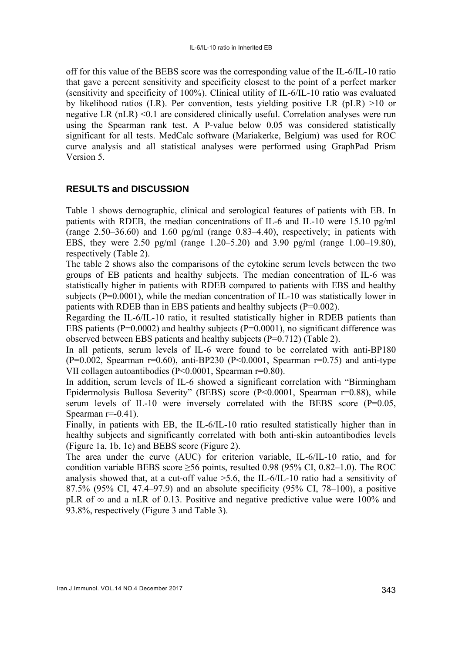off for this value of the BEBS score was the corresponding value of the IL-6/IL-10 ratio that gave a percent sensitivity and specificity closest to the point of a perfect marker (sensitivity and specificity of 100%). Clinical utility of IL-6/IL-10 ratio was evaluated by likelihood ratios (LR). Per convention, tests yielding positive LR (pLR) >10 or negative LR (nLR) <0.1 are considered clinically useful. Correlation analyses were run using the Spearman rank test. A P-value below 0.05 was considered statistically significant for all tests. MedCalc software (Mariakerke, Belgium) was used for ROC curve analysis and all statistical analyses were performed using GraphPad Prism Version 5.

# **RESULTS and DISCUSSION**

Table 1 shows demographic, clinical and serological features of patients with EB. In patients with RDEB, the median concentrations of IL-6 and IL-10 were 15.10 pg/ml (range  $2.50-36.60$ ) and  $1.60$  pg/ml (range  $0.83-4.40$ ), respectively; in patients with EBS, they were 2.50 pg/ml (range 1.20–5.20) and 3.90 pg/ml (range 1.00–19.80), respectively (Table 2).

The table 2 shows also the comparisons of the cytokine serum levels between the two groups of EB patients and healthy subjects. The median concentration of IL-6 was statistically higher in patients with RDEB compared to patients with EBS and healthy subjects ( $P=0.0001$ ), while the median concentration of IL-10 was statistically lower in patients with RDEB than in EBS patients and healthy subjects (P=0.002).

Regarding the IL-6/IL-10 ratio, it resulted statistically higher in RDEB patients than EBS patients ( $P=0.0002$ ) and healthy subjects ( $P=0.0001$ ), no significant difference was observed between EBS patients and healthy subjects (P=0.712) (Table 2).

In all patients, serum levels of IL-6 were found to be correlated with anti-BP180 (P=0.002, Spearman  $r=0.60$ ), anti-BP230 (P<0.0001, Spearman  $r=0.75$ ) and anti-type VII collagen autoantibodies (P<0.0001, Spearman r=0.80).

In addition, serum levels of IL-6 showed a significant correlation with "Birmingham Epidermolysis Bullosa Severity" (BEBS) score (P<0.0001, Spearman r=0.88), while serum levels of IL-10 were inversely correlated with the BEBS score (P=0.05, Spearman  $r=0.41$ ).

Finally, in patients with EB, the IL-6/IL-10 ratio resulted statistically higher than in healthy subjects and significantly correlated with both anti-skin autoantibodies levels (Figure 1a, 1b, 1c) and BEBS score (Figure 2).

The area under the curve (AUC) for criterion variable, IL-6/IL-10 ratio, and for condition variable BEBS score  $\geq$ 56 points, resulted 0.98 (95% CI, 0.82–1.0). The ROC analysis showed that, at a cut-off value >5.6, the IL-6/IL-10 ratio had a sensitivity of 87.5% (95% CI, 47.4–97.9) and an absolute specificity (95% CI, 78–100), a positive pLR of  $\infty$  and a nLR of 0.13. Positive and negative predictive value were 100% and 93.8%, respectively (Figure 3 and Table 3).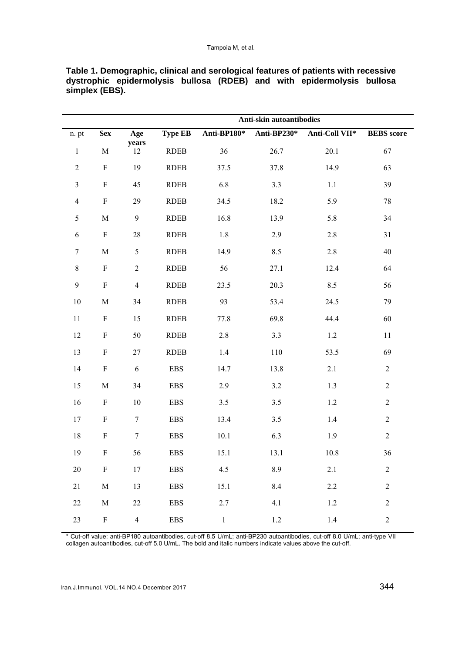|                  |             |                  | Anti-skin autoantibodies |             |             |                |                   |  |
|------------------|-------------|------------------|--------------------------|-------------|-------------|----------------|-------------------|--|
| n. pt            | <b>Sex</b>  | Age              | <b>Type EB</b>           | Anti-BP180* | Anti-BP230* | Anti-Coll VII* | <b>BEBS</b> score |  |
| $\,1$            | $\mathbf M$ | years<br>12      | <b>RDEB</b>              | 36          | 26.7        | 20.1           | 67                |  |
| $\sqrt{2}$       | $\mathbf F$ | 19               | <b>RDEB</b>              | 37.5        | 37.8        | 14.9           | 63                |  |
| $\mathfrak{Z}$   | $\mathbf F$ | 45               | <b>RDEB</b>              | 6.8         | 3.3         | $1.1\,$        | 39                |  |
| $\overline{4}$   | $\mathbf F$ | 29               | <b>RDEB</b>              | 34.5        | 18.2        | 5.9            | $78\,$            |  |
| 5                | $\mathbf M$ | $\mathbf{9}$     | <b>RDEB</b>              | 16.8        | 13.9        | 5.8            | 34                |  |
| $\sqrt{6}$       | $\mathbf F$ | $28\,$           | <b>RDEB</b>              | $1.8\,$     | 2.9         | 2.8            | 31                |  |
| $\boldsymbol{7}$ | $\mathbf M$ | $\mathfrak{S}$   | <b>RDEB</b>              | 14.9        | 8.5         | $2.8\,$        | 40                |  |
| $\,8\,$          | $\mathbf F$ | $\overline{c}$   | <b>RDEB</b>              | 56          | 27.1        | 12.4           | 64                |  |
| $\mathbf{9}$     | $\mathbf F$ | $\overline{4}$   | <b>RDEB</b>              | 23.5        | 20.3        | 8.5            | 56                |  |
| 10               | $\mathbf M$ | 34               | <b>RDEB</b>              | 93          | 53.4        | 24.5           | 79                |  |
| 11               | $\mathbf F$ | 15               | <b>RDEB</b>              | 77.8        | 69.8        | 44.4           | 60                |  |
| 12               | ${\bf F}$   | 50               | <b>RDEB</b>              | 2.8         | 3.3         | 1.2            | $11\,$            |  |
| 13               | $\mathbf F$ | $27\,$           | <b>RDEB</b>              | 1.4         | 110         | 53.5           | 69                |  |
| 14               | $\mathbf F$ | $\sqrt{6}$       | <b>EBS</b>               | 14.7        | 13.8        | 2.1            | $\overline{2}$    |  |
| 15               | $\mathbf M$ | 34               | <b>EBS</b>               | 2.9         | $3.2\,$     | 1.3            | $\overline{c}$    |  |
| 16               | $\mathbf F$ | 10               | <b>EBS</b>               | $3.5$       | 3.5         | $1.2\,$        | $\sqrt{2}$        |  |
| 17               | ${\bf F}$   | $\tau$           | <b>EBS</b>               | 13.4        | 3.5         | 1.4            | $\sqrt{2}$        |  |
| $18\,$           | ${\bf F}$   | $\boldsymbol{7}$ | <b>EBS</b>               | 10.1        | 6.3         | 1.9            | $\overline{2}$    |  |
| 19               | ${\bf F}$   | 56               | <b>EBS</b>               | 15.1        | 13.1        | 10.8           | 36                |  |
| $20\,$           | $\mathbf F$ | 17               | <b>EBS</b>               | 4.5         | 8.9         | 2.1            | $\sqrt{2}$        |  |
| $21\,$           | $\mathbf M$ | 13               | <b>EBS</b>               | 15.1        | 8.4         | 2.2            | $\sqrt{2}$        |  |
| 22               | $\mathbf M$ | $22\,$           | <b>EBS</b>               | 2.7         | 4.1         | $1.2\,$        | $\sqrt{2}$        |  |
| 23               | ${\bf F}$   | $\overline{4}$   | <b>EBS</b>               | $\,1$       | $1.2\,$     | 1.4            | $\boldsymbol{2}$  |  |

**Table 1. Demographic, clinical and serological features of patients with recessive dystrophic epidermolysis bullosa (RDEB) and with epidermolysis bullosa simplex (EBS).** 

\* Cut-off value: anti-BP180 autoantibodies, cut-off 8.5 U/mL; anti-BP230 autoantibodies, cut-off 8.0 U/mL; anti-type VII collagen autoantibodies, cut-off 5.0 U/mL. The bold and italic numbers indicate values above the cut-off.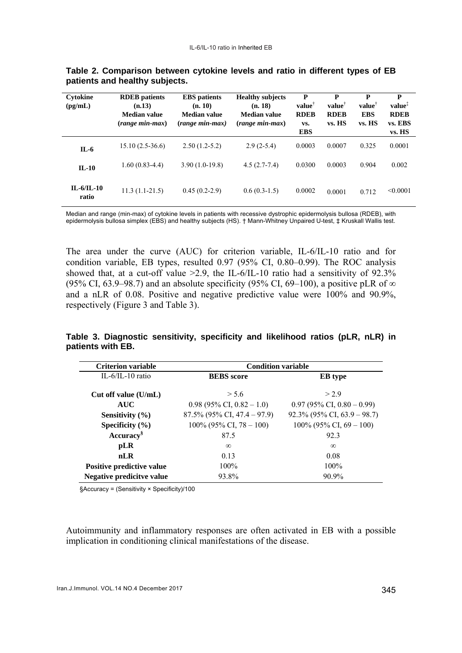| Cytokine<br>$\left(\text{pg/mL}\right)$ | <b>RDEB</b> patients<br>(n.13)<br>Median value<br>$(range\ min\ \max)$ | <b>EBS</b> patients<br>(n. 10)<br><b>Median value</b><br>(range min-max) | <b>Healthy subjects</b><br>(n. 18)<br><b>Median value</b><br>$(range\ min\ \max)$ | P<br>$value^{\dagger}$<br><b>RDEB</b><br>VS.<br><b>EBS</b> | P<br>$value^{\dagger}$<br><b>RDEB</b><br>vs. HS | P<br>$value^{\dagger}$<br><b>EBS</b><br>vs. HS | P<br>value <sup>1</sup><br><b>RDEB</b><br>vs. EBS<br>vs. HS |
|-----------------------------------------|------------------------------------------------------------------------|--------------------------------------------------------------------------|-----------------------------------------------------------------------------------|------------------------------------------------------------|-------------------------------------------------|------------------------------------------------|-------------------------------------------------------------|
| $IL-6$                                  | $15.10(2.5-36.6)$                                                      | $2.50(1.2-5.2)$                                                          | $2.9(2-5.4)$                                                                      | 0.0003                                                     | 0.0007                                          | 0.325                                          | 0.0001                                                      |
| $IL-10$                                 | $1.60(0.83-4.4)$                                                       | $3.90(1.0-19.8)$                                                         | $4.5(2.7-7.4)$                                                                    | 0.0300                                                     | 0.0003                                          | 0.904                                          | 0.002                                                       |
| $IL-6/IL-10$<br>ratio                   | $11.3(1.1-21.5)$                                                       | $0.45(0.2-2.9)$                                                          | $0.6(0.3-1.5)$                                                                    | 0.0002                                                     | 0.0001                                          | 0.712                                          | < 0.0001                                                    |

**Table 2. Comparison between cytokine levels and ratio in different types of EB patients and healthy subjects.** 

Median and range (min-max) of cytokine levels in patients with recessive dystrophic epidermolysis bullosa (RDEB), with epidermolysis bullosa simplex (EBS) and healthy subjects (HS). † Mann-Whitney Unpaired U-test, ‡ Kruskall Wallis test.

The area under the curve (AUC) for criterion variable, IL-6/IL-10 ratio and for condition variable, EB types, resulted 0.97 (95% CI, 0.80–0.99). The ROC analysis showed that, at a cut-off value  $>2.9$ , the IL-6/IL-10 ratio had a sensitivity of 92.3% (95% CI, 63.9–98.7) and an absolute specificity (95% CI, 69–100), a positive pLR of  $\infty$ and a nLR of 0.08. Positive and negative predictive value were 100% and 90.9%, respectively (Figure 3 and Table 3).

**Table 3. Diagnostic sensitivity, specificity and likelihood ratios (pLR, nLR) in patients with EB.** 

| <b>Criterion variable</b> | <b>Condition variable</b>      |                                |  |  |  |
|---------------------------|--------------------------------|--------------------------------|--|--|--|
| IL- $6$ /IL-10 ratio      | <b>BEBS</b> score              | <b>EB</b> type                 |  |  |  |
| Cut off value $(U/mL)$    | > 5.6                          | >2.9                           |  |  |  |
| <b>AUC</b>                | $0.98$ (95% CI, 0.82 - 1.0)    | $0.97$ (95% CI, 0.80 – 0.99)   |  |  |  |
| Sensitivity $(\% )$       | $87.5\%$ (95% CI, 47.4 – 97.9) | $92.3\%$ (95% CI, 63.9 – 98.7) |  |  |  |
| Specificity $(\% )$       | $100\%$ (95% CI, 78 – 100)     | $100\%$ (95% CI, 69 – 100)     |  |  |  |
| Accuracy <sup>§</sup>     | 87.5                           | 923                            |  |  |  |
| pLR                       | $\infty$                       | $\infty$                       |  |  |  |
| nLR                       | 0.13                           | 0.08                           |  |  |  |
| Positive predictive value | $100\%$                        | 100%                           |  |  |  |
| Negative predicitve value | 93.8%                          | $90.9\%$                       |  |  |  |

§Accuracy = (Sensitivity × Specificity)/100

Autoimmunity and inflammatory responses are often activated in EB with a possible implication in conditioning clinical manifestations of the disease.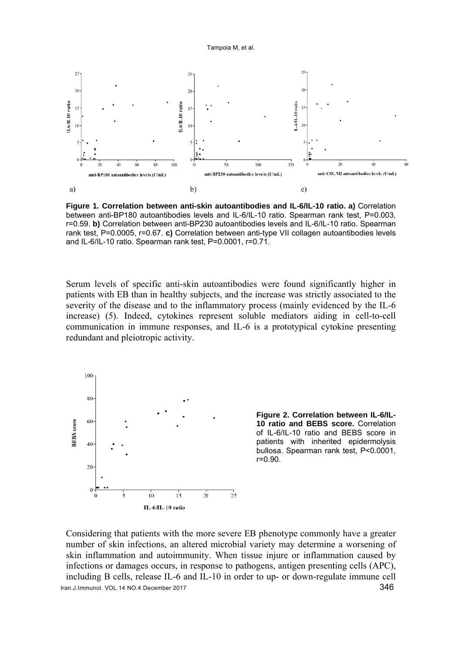

Figure 1. Correlation between anti-skin autoantibodies and IL-6/IL-10 ratio. a) Correlation between anti-BP180 autoantibodies levels and IL-6/IL-10 ratio. Spearman rank test, P=0.003, r=0.59. b) Correlation between anti-BP230 autoantibodies levels and IL-6/IL-10 ratio. Spearman rank test, P=0.0005, r=0.67. c) Correlation between anti-type VII collagen autoantibodies levels and IL-6/IL-10 ratio. Spearman rank test, P=0.0001, r=0.71.

Serum levels of specific anti-skin autoantibodies were found significantly higher in patients with EB than in healthy subjects, and the increase was strictly associated to the severity of the disease and to the inflammatory process (mainly evidenced by the IL-6 increase) (5). Indeed, cytokines represent soluble mediators aiding in cell-to-cell communication in immune responses, and IL-6 is a prototypical cytokine presenting redundant and pleiotropic activity.



Figure 2. Correlation between IL-6/IL-10 ratio and BEBS score. Correlation of IL-6/IL-10 ratio and BEBS score in patients with inherited epidermolysis bullosa. Spearman rank test, P<0.0001,  $r = 0.90$ .

Considering that patients with the more severe EB phenotype commonly have a greater number of skin infections, an altered microbial variety may determine a worsening of skin inflammation and autoimmunity. When tissue injure or inflammation caused by infections or damages occurs, in response to pathogens, antigen presenting cells (APC), including B cells, release IL-6 and IL-10 in order to up- or down-regulate immune cell Iran.J.Immunol. VOL.14 NO.4 December 2017 346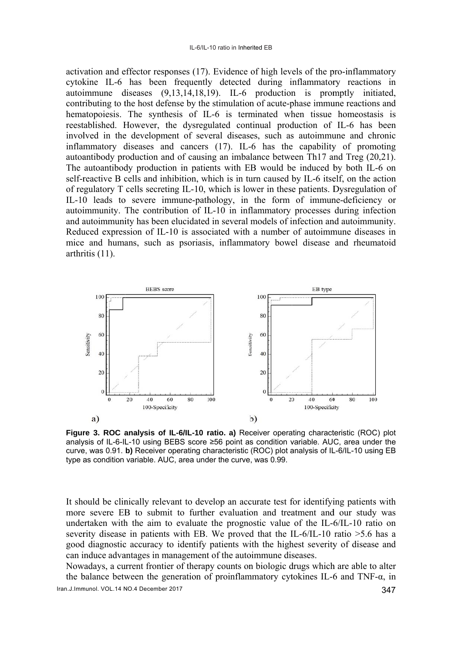activation and effector responses (17). Evidence of high levels of the pro-inflammatory cytokine IL-6 has been frequently detected during inflammatory reactions in autoimmune diseases (9,13,14,18,19). IL-6 production is promptly initiated, contributing to the host defense by the stimulation of acute-phase immune reactions and hematopoiesis. The synthesis of IL-6 is terminated when tissue homeostasis is reestablished. However, the dysregulated continual production of IL-6 has been involved in the development of several diseases, such as autoimmune and chronic inflammatory diseases and cancers (17). IL-6 has the capability of promoting autoantibody production and of causing an imbalance between Th17 and Treg (20,21). The autoantibody production in patients with EB would be induced by both IL-6 on self-reactive B cells and inhibition, which is in turn caused by IL-6 itself, on the action of regulatory T cells secreting IL-10, which is lower in these patients. Dysregulation of IL-10 leads to severe immune-pathology, in the form of immune-deficiency or autoimmunity. The contribution of IL-10 in inflammatory processes during infection and autoimmunity has been elucidated in several models of infection and autoimmunity. Reduced expression of IL-10 is associated with a number of autoimmune diseases in mice and humans, such as psoriasis, inflammatory bowel disease and rheumatoid arthritis  $(11)$ .



Figure 3. ROC analysis of IL-6/IL-10 ratio. a) Receiver operating characteristic (ROC) plot analysis of IL-6-IL-10 using BEBS score ≥56 point as condition variable. AUC, area under the curve, was 0.91. b) Receiver operating characteristic (ROC) plot analysis of IL-6/IL-10 using EB type as condition variable. AUC, area under the curve, was 0.99.

It should be clinically relevant to develop an accurate test for identifying patients with more severe EB to submit to further evaluation and treatment and our study was undertaken with the aim to evaluate the prognostic value of the IL-6/IL-10 ratio on severity disease in patients with EB. We proved that the IL-6/IL-10 ratio  $>5.6$  has a good diagnostic accuracy to identify patients with the highest severity of disease and can induce advantages in management of the autoimmune diseases.

Nowadays, a current frontier of therapy counts on biologic drugs which are able to alter the balance between the generation of proinflammatory cytokines IL-6 and TNF- $\alpha$ , in Iran.J.Immunol. VOL.14 NO.4 December 2017 347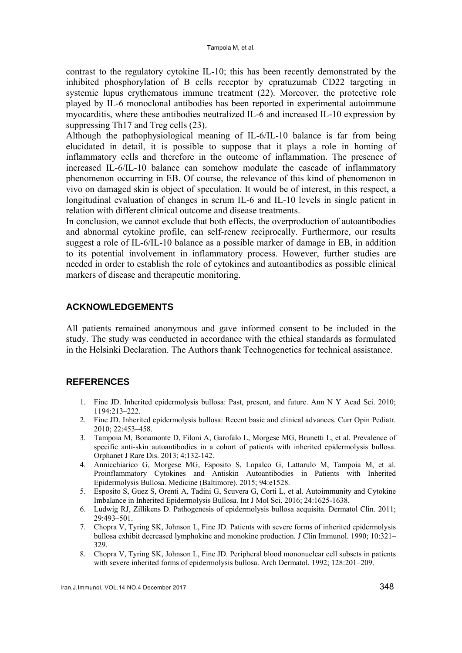contrast to the regulatory cytokine IL-10; this has been recently demonstrated by the inhibited phosphorylation of B cells receptor by epratuzumab CD22 targeting in systemic lupus erythematous immune treatment (22). Moreover, the protective role played by IL-6 monoclonal antibodies has been reported in experimental autoimmune myocarditis, where these antibodies neutralized IL-6 and increased IL-10 expression by suppressing Th17 and Treg cells (23).

Although the pathophysiological meaning of IL-6/IL-10 balance is far from being elucidated in detail, it is possible to suppose that it plays a role in homing of inflammatory cells and therefore in the outcome of inflammation. The presence of increased IL-6/IL-10 balance can somehow modulate the cascade of inflammatory phenomenon occurring in EB. Of course, the relevance of this kind of phenomenon in vivo on damaged skin is object of speculation. It would be of interest, in this respect, a longitudinal evaluation of changes in serum IL-6 and IL-10 levels in single patient in relation with different clinical outcome and disease treatments.

In conclusion, we cannot exclude that both effects, the overproduction of autoantibodies and abnormal cytokine profile, can self-renew reciprocally. Furthermore, our results suggest a role of IL-6/IL-10 balance as a possible marker of damage in EB, in addition to its potential involvement in inflammatory process. However, further studies are needed in order to establish the role of cytokines and autoantibodies as possible clinical markers of disease and therapeutic monitoring.

## **ACKNOWLEDGEMENTS**

All patients remained anonymous and gave informed consent to be included in the study. The study was conducted in accordance with the ethical standards as formulated in the Helsinki Declaration. The Authors thank Technogenetics for technical assistance.

# **REFERENCES**

- 1. Fine JD. Inherited epidermolysis bullosa: Past, present, and future. Ann N Y Acad Sci. 2010; 1194:213–222.
- 2. Fine JD. Inherited epidermolysis bullosa: Recent basic and clinical advances. Curr Opin Pediatr. 2010; 22:453–458.
- 3. Tampoia M, Bonamonte D, Filoni A, Garofalo L, Morgese MG, Brunetti L, et al. Prevalence of specific anti-skin autoantibodies in a cohort of patients with inherited epidermolysis bullosa. Orphanet J Rare Dis. 2013; 4:132-142.
- 4. Annicchiarico G, Morgese MG, Esposito S, Lopalco G, Lattarulo M, Tampoia M, et al. Proinflammatory Cytokines and Antiskin Autoantibodies in Patients with Inherited Epidermolysis Bullosa. Medicine (Baltimore). 2015; 94:e1528.
- 5. Esposito S, Guez S, Orenti A, Tadini G, Scuvera G, Corti L, et al. Autoimmunity and Cytokine Imbalance in Inherited Epidermolysis Bullosa. Int J Mol Sci. 2016; 24:1625-1638.
- 6. Ludwig RJ, Zillikens D. Pathogenesis of epidermolysis bullosa acquisita. Dermatol Clin. 2011; 29:493–501.
- 7. Chopra V, Tyring SK, Johnson L, Fine JD. Patients with severe forms of inherited epidermolysis bullosa exhibit decreased lymphokine and monokine production. J Clin Immunol. 1990; 10:321– 329.
- 8. Chopra V, Tyring SK, Johnson L, Fine JD. Peripheral blood mononuclear cell subsets in patients with severe inherited forms of epidermolysis bullosa. Arch Dermatol. 1992; 128:201–209.